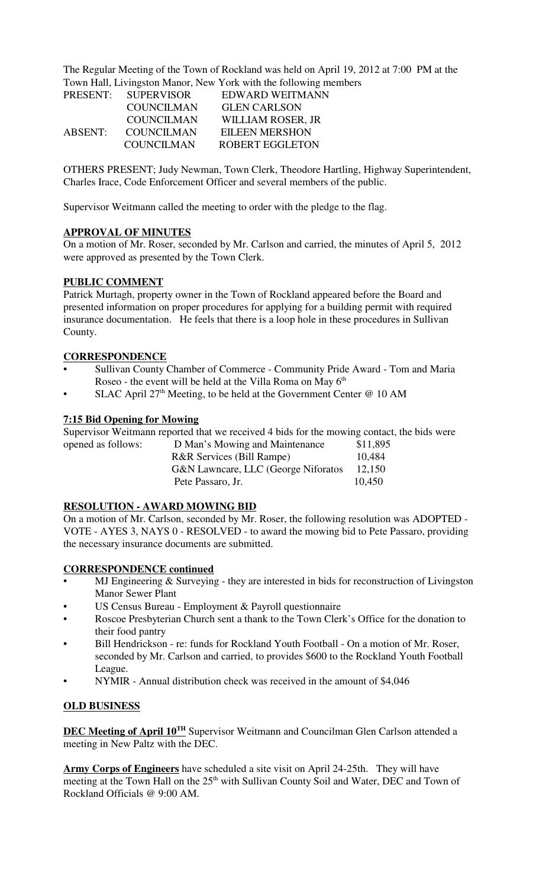The Regular Meeting of the Town of Rockland was held on April 19, 2012 at 7:00 PM at the Town Hall, Livingston Manor, New York with the following members

|         | PRESENT: SUPERVISOR | EDWARD WEITMANN        |  |
|---------|---------------------|------------------------|--|
|         | <b>COUNCILMAN</b>   | <b>GLEN CARLSON</b>    |  |
|         | <b>COUNCILMAN</b>   | WILLIAM ROSER, JR      |  |
| ABSENT: | <b>COUNCILMAN</b>   | <b>EILEEN MERSHON</b>  |  |
|         | <b>COUNCILMAN</b>   | <b>ROBERT EGGLETON</b> |  |

OTHERS PRESENT; Judy Newman, Town Clerk, Theodore Hartling, Highway Superintendent, Charles Irace, Code Enforcement Officer and several members of the public.

Supervisor Weitmann called the meeting to order with the pledge to the flag.

## **APPROVAL OF MINUTES**

On a motion of Mr. Roser, seconded by Mr. Carlson and carried, the minutes of April 5, 2012 were approved as presented by the Town Clerk.

## **PUBLIC COMMENT**

Patrick Murtagh, property owner in the Town of Rockland appeared before the Board and presented information on proper procedures for applying for a building permit with required insurance documentation. He feels that there is a loop hole in these procedures in Sullivan County.

## **CORRESPONDENCE**

- Sullivan County Chamber of Commerce Community Pride Award Tom and Maria Roseo - the event will be held at the Villa Roma on May  $6<sup>th</sup>$
- SLAC April  $27<sup>th</sup>$  Meeting, to be held at the Government Center @ 10 AM

## **7:15 Bid Opening for Mowing**

Supervisor Weitmann reported that we received 4 bids for the mowing contact, the bids were opened as follows:

| opened as follows: | D Man's Mowing and Maintenance       | \$11,895 |
|--------------------|--------------------------------------|----------|
|                    | <b>R&amp;R Services (Bill Rampe)</b> | 10.484   |
|                    | G&N Lawncare, LLC (George Niforatos  | 12,150   |
|                    | Pete Passaro, Jr.                    | 10,450   |
|                    |                                      |          |

## **RESOLUTION - AWARD MOWING BID**

On a motion of Mr. Carlson, seconded by Mr. Roser, the following resolution was ADOPTED - VOTE - AYES 3, NAYS 0 - RESOLVED - to award the mowing bid to Pete Passaro, providing the necessary insurance documents are submitted.

## **CORRESPONDENCE continued**

- MJ Engineering & Surveying they are interested in bids for reconstruction of Livingston Manor Sewer Plant
- US Census Bureau Employment & Payroll questionnaire
- Roscoe Presbyterian Church sent a thank to the Town Clerk's Office for the donation to their food pantry
- Bill Hendrickson re: funds for Rockland Youth Football On a motion of Mr. Roser, seconded by Mr. Carlson and carried, to provides \$600 to the Rockland Youth Football League.
- NYMIR Annual distribution check was received in the amount of \$4,046

## **OLD BUSINESS**

**DEC Meeting of April 10<sup>TH</sup>** Supervisor Weitmann and Councilman Glen Carlson attended a meeting in New Paltz with the DEC.

**Army Corps of Engineers** have scheduled a site visit on April 24-25th. They will have meeting at the Town Hall on the 25<sup>th</sup> with Sullivan County Soil and Water, DEC and Town of Rockland Officials @ 9:00 AM.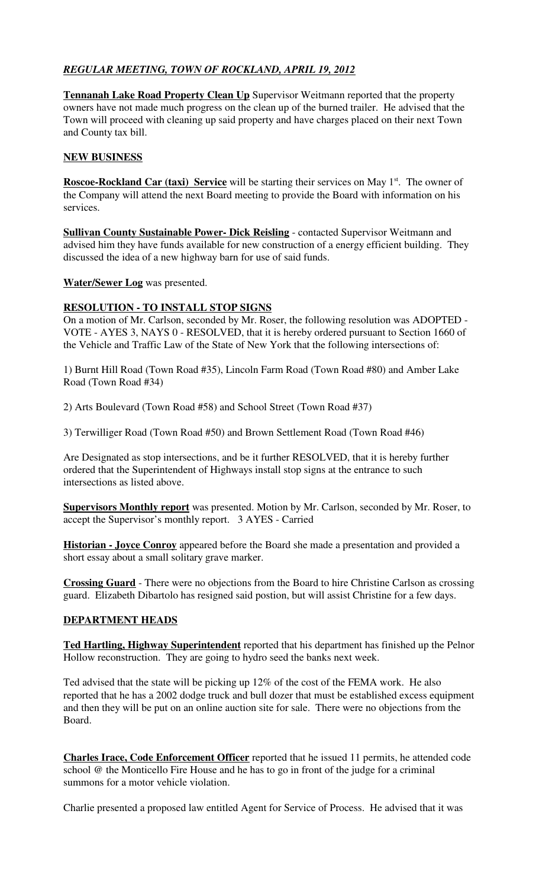# *REGULAR MEETING, TOWN OF ROCKLAND, APRIL 19, 2012*

**Tennanah Lake Road Property Clean Up** Supervisor Weitmann reported that the property owners have not made much progress on the clean up of the burned trailer. He advised that the Town will proceed with cleaning up said property and have charges placed on their next Town and County tax bill.

## **NEW BUSINESS**

**Roscoe-Rockland Car (taxi) Service** will be starting their services on May 1<sup>st</sup>. The owner of the Company will attend the next Board meeting to provide the Board with information on his services.

**Sullivan County Sustainable Power- Dick Reisling** - contacted Supervisor Weitmann and advised him they have funds available for new construction of a energy efficient building. They discussed the idea of a new highway barn for use of said funds.

**Water/Sewer Log** was presented.

## **RESOLUTION - TO INSTALL STOP SIGNS**

On a motion of Mr. Carlson, seconded by Mr. Roser, the following resolution was ADOPTED - VOTE - AYES 3, NAYS 0 - RESOLVED, that it is hereby ordered pursuant to Section 1660 of the Vehicle and Traffic Law of the State of New York that the following intersections of:

1) Burnt Hill Road (Town Road #35), Lincoln Farm Road (Town Road #80) and Amber Lake Road (Town Road #34)

2) Arts Boulevard (Town Road #58) and School Street (Town Road #37)

3) Terwilliger Road (Town Road #50) and Brown Settlement Road (Town Road #46)

Are Designated as stop intersections, and be it further RESOLVED, that it is hereby further ordered that the Superintendent of Highways install stop signs at the entrance to such intersections as listed above.

**Supervisors Monthly report** was presented. Motion by Mr. Carlson, seconded by Mr. Roser, to accept the Supervisor's monthly report. 3 AYES - Carried

**Historian - Joyce Conroy** appeared before the Board she made a presentation and provided a short essay about a small solitary grave marker.

**Crossing Guard** - There were no objections from the Board to hire Christine Carlson as crossing guard. Elizabeth Dibartolo has resigned said postion, but will assist Christine for a few days.

## **DEPARTMENT HEADS**

**Ted Hartling, Highway Superintendent** reported that his department has finished up the Pelnor Hollow reconstruction. They are going to hydro seed the banks next week.

Ted advised that the state will be picking up 12% of the cost of the FEMA work. He also reported that he has a 2002 dodge truck and bull dozer that must be established excess equipment and then they will be put on an online auction site for sale. There were no objections from the Board.

**Charles Irace, Code Enforcement Officer** reported that he issued 11 permits, he attended code school @ the Monticello Fire House and he has to go in front of the judge for a criminal summons for a motor vehicle violation.

Charlie presented a proposed law entitled Agent for Service of Process. He advised that it was